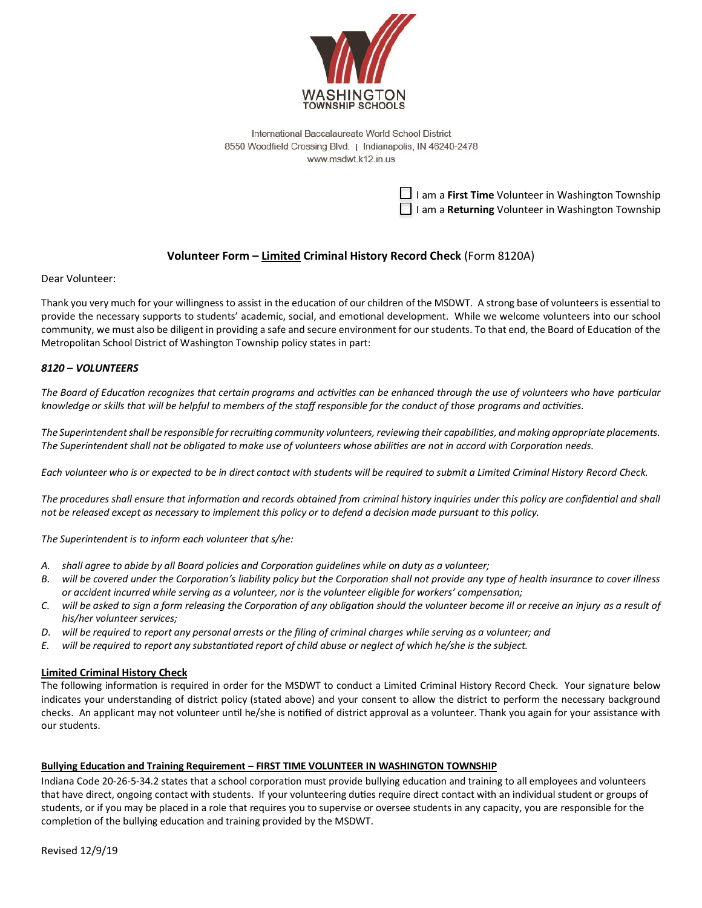

International Baccalaureate World School District 8550 Woodfield Crossing Blvd. | Indianapolis, IN 46240-2478 www.msdwt.k12.in.us

> $\Box$  I am a **First Time** Volunteer in Washington Township I am a **Returning** Volunteer in Washington Township

## **Volunteer Form – Limited Criminal History Record Check** (Form 8120A)

Dear Volunteer:

Thank you very much for your willingness to assist in the education of our children of the MSDWT. A strong base of volunteers is essential to provide the necessary supports to students' academic, social, and emotional development. While we welcome volunteers into our school community, we must also be diligent in providing a safe and secure environment for our students. To that end, the Board of Education of the Metropolitan School District of Washington Township policy states in part:

### *8120 – VOLUNTEERS*

*The Board of Education recognizes that certain programs and activities can be enhanced through the use of volunteers who have particular knowledge or skills that will be helpful to members of the staff responsible for the conduct of those programs and activities.*

*The Superintendent shall be responsible for recruiting community volunteers, reviewing their capabilities, and making appropriate placements. The Superintendent shall not be obligated to make use of volunteers whose abilities are not in accord with Corporation needs.*

*Each volunteer who is or expected to be in direct contact with students will be required to submit a Limited Criminal History Record Check.*

*The procedures shall ensure that information and records obtained from criminal history inquiries under this policy are confidential and shall not be released except as necessary to implement this policy or to defend a decision made pursuant to this policy.*

*The Superintendent is to inform each volunteer that s/he:*

- *A. shall agree to abide by all Board policies and Corporation guidelines while on duty as a volunteer;*
- *B. will be covered under the Corporation's liability policy but the Corporation shall not provide any type of health insurance to cover illness or accident incurred while serving as a volunteer, nor is the volunteer eligible for workers' compensation;*
- *C. will be asked to sign a form releasing the Corporation of any obligation should the volunteer become ill or receive an injury as a result of his/her volunteer services;*
- *D. will be required to report any personal arrests or the filing of criminal charges while serving as a volunteer; and*
- *E. will be required to report any substantiated report of child abuse or neglect of which he/she is the subject.*

#### **Limited Criminal History Check**

The following information is required in order for the MSDWT to conduct a Limited Criminal History Record Check. Your signature below indicates your understanding of district policy (stated above) and your consent to allow the district to perform the necessary background checks. An applicant may not volunteer until he/she is notified of district approval as a volunteer. Thank you again for your assistance with our students.

#### **Bullying Education and Training Requirement – FIRST TIME VOLUNTEER IN WASHINGTON TOWNSHIP**

Indiana Code 20-26-5-34.2 states that a school corporation must provide bullying education and training to all employees and volunteers that have direct, ongoing contact with students. If your volunteering duties require direct contact with an individual student or groups of students, or if you may be placed in a role that requires you to supervise or oversee students in any capacity, you are responsible for the completion of the bullying education and training provided by the MSDWT.

Revised 12/9/19